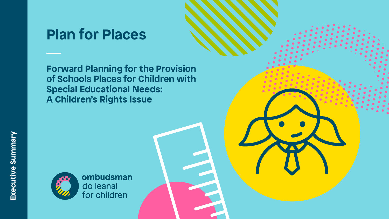



# **Plan for Places**

**Forward Planning for the Provision of Schools Places for Children with Special Educational Needs: A Children's Rights Issue**



ombudsman do leanaí<br>for children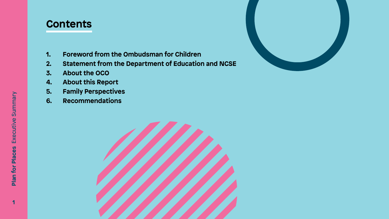

- **1. Foreword from the Ombudsman for Children**
- **2. Statement from the Department of Education and NCSE**
- **3. About the OCO**
- **4. About this Report**
- **5. Family Perspectives**
- **6. Recommendations**



### **Contents**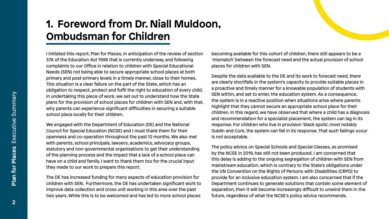

## **1. Foreword from Dr. Niall Muldoon, Ombudsman for Children**

We engaged with the Department of Education (DE) and the National Council for Special Education (NCSE) and I must thank them for their openness and co-operation throughout the past 12 months. We also met with parents, school principals, lawyers, academics, advocacy groups, of the planning process and the impact that a lack of a school place can have on a child and family. I want to thank them too for the crucial input they made to our work to prepare this report.

I initiated this report, Plan for Places, in anticipation of the review of section 37A of the Education Act 1998 that is currently underway, and following complaints to our Office in relation to children with Special Educational Needs (SEN) not being able to secure appropriate school places at both primary and post-primary levels in a timely manner, close to their homes. This situation is a clear failure on the part of the State, which has an obligation to respect, protect and fulfil the right to education of every child. In undertaking this piece of work, we set out to understand how the State plans for the provision of school places for children with SEN and, with that, why parents can experience significant difficulties in securing a suitable school place locally for their children. becoming available for this cohort of children, there still appears to be a 'mismatch' between the forecast need and the actual provision of school places for children with SEN. Despite the data available to the DE and its work to forecast need, there are clearly shortfalls in the system's capacity to provide suitable places in a proactive and timely manner for a knowable population of students with SEN within, and set to enter, the education system. As a consequence, the system is in a reactive position when situations arise where parents highlight that they cannot secure an appropriate school place for their children. In this regard, we have observed that where a child has a diagnosis and recommendation for a specialist placement, the system can lag in its response. For children who live in provision 'black spots', most notably Dublin and Cork, the system can fail in its response. That such failings occur is not acceptable.

statutory and non-governmental organisations to get their understanding The DE has increased funding for many aspects of education provision for children with SEN. Furthermore, the DE has undertaken significant work to improve data collection and cross unit working in this area over the past two years. While this is to be welcomed and has led to more school places The policy advice on Special Schools and Special Classes, as promised by the NCSE in 2019, has still not been produced. I am concerned that this delay is adding to the ongoing segregation of children with SEN from mainstream education, which is contrary to the State's obligations under the UN Convention on the Rights of Persons with Disabilities (CRPD) to provide for an inclusive education system. I am also concerned that if the Department continues to generate solutions that contain some element of separation, then it will become increasingly difficult to unwind them in the future, regardless of what the NCSE's policy advice recommends.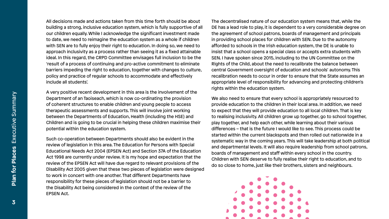A very positive recent development in this area is the involvement of the Department of an Taoiseach, which is now co-ordinating the provision of coherent structures to enable children and young people to access therapeutic assessments and supports. This will involve joint working between the Departments of Education, Health (including the HSE) and Children and is going to be crucial in helping these children maximise their potential within the education system.

All decisions made and actions taken from this time forth should be about building a strong, inclusive education system, which is fully supportive of all our children equally. While I acknowledge the significant investment made to date, we need to reimagine the education system as a whole if children with SEN are to fully enjoy their right to education. In doing so, we need to approach inclusivity as a process rather than seeing it as a fixed attainable ideal. In this regard, the CRPD Committee envisages full inclusion to be the 'result of a process of continuing and pro-active commitment to eliminate barriers impeding the right to education, together with changes to culture, policy and practice of regular schools to accommodate and effectively include all students'. The decentralised nature of our education system means that, while the DE has a lead role to play, it is dependent to a very considerable degree on the agreement of school patrons, boards of management and principals in providing school places for children with SEN. Due to the autonomy afforded to schools in the Irish education system, the DE is unable to insist that a school opens a special class or accepts extra students with SEN. I have spoken since 2015, including to the UN Committee on the Rights of the Child, about the need to recalibrate the balance between central Government oversight of education and schools' autonomy. This recalibration needs to occur in order to ensure that the State assumes an appropriate level of responsibility for advancing and protecting children's rights within the education system.

Such co-operation between Departments should also be evident in the review of legislation in this area. The Education for Persons with Special Educational Needs Act 2004 (EPSEN Act) and Section 37A of the Education Act 1998 are currently under review. It is my hope and expectation that the review of the EPSEN Act will have due regard to relevant provisions of the Disability Act 2005 given that these two pieces of legislation were designed to work in concert with one another. That different Departments have responsibility for these pieces of legislation should not be a barrier to the Disability Act being considered in the context of the review of the EPSEN Act.

We also need to ensure that every school is appropriately resourced to provide education to the children in their local area. In addition, we need to expect that they will provide education to all local children. That is key to realising inclusivity. All children grow up together, go to school together, play together, and help each other, while learning about their various differences – that is the future I would like to see. This process could be started within the current blackspots and then rolled out nationwide in a systematic way in the coming years. This will take leadership at both political and departmental levels. It will also require leadership from school patrons, boards of management and staff within every school in the country. Children with SEN deserve to fully realise their right to education, and to do so close to home, just like their brothers, sisters and neighbours.



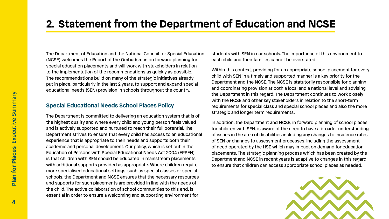



## **2. Statement from the Department of Education and NCSE**

The Department of Education and the National Council for Special Education (NCSE) welcomes the Report of the Ombudsman on forward planning for special education placements and will work with stakeholders in relation to the implementation of the recommendations as quickly as possible. The recommendations build on many of the strategic initiatives already put in place, particularly in the last 2 years, to support and expand special educational needs (SEN) provision in schools throughout the country. **Special Educational Needs School Places Policy** students with SEN in our schools. The importance of this environment to each child and their families cannot be overstated. Within this context, providing for an appropriate school placement for every child with SEN in a timely and supported manner is a key priority for the Department and the NCSE. The NCSE is statutorily responsible for planning and coordinating provision at both a local and a national level and advising the Department in this regard. The Department continues to work closely with the NCSE and other key stakeholders in relation to the short-term requirements for special class and special school places and also the more strategic and longer term requirements.

The Department is committed to delivering an education system that is of the highest quality and where every child and young person feels valued and is actively supported and nurtured to reach their full potential. The Department strives to ensure that every child has access to an educational experience that is appropriate to their needs and supports both their academic and personal development. Our policy, which is set out in the Education of Persons with Special Educational Needs Act 2004 (EPSEN) is that children with SEN should be educated in mainstream placements with additional supports provided as appropriate. Where children require more specialised educational settings, such as special classes or special schools, the Department and NCSE ensures that the necessary resources and supports for such placements are provided in line with the needs of the child. The active collaboration of school communities to this end, is essential in order to ensure a welcoming and supporting environment for In addition, the Department and NCSE, in forward planning of school places for children with SEN, is aware of the need to have a broader understanding of issues in the area of disabilities including any changes to incidence rates of SEN or changes to assessment processes, including the assessment of need operated by the HSE which may impact on demand for education placements. The strategic planning process which has been created by the Department and NCSE in recent years is adaptive to changes in this regard to ensure that children can access appropriate school places as needed.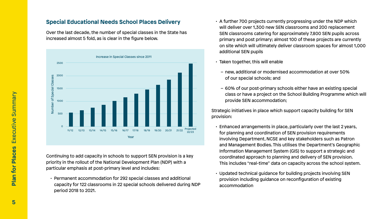#### **Special Educational Needs School Places Delivery**

Over the last decade, the number of special classes in the State has increased almost 5 fold, as is clear in the figure below.

Continuing to add capacity in schools to support SEN provision is a key priority in the rollout of the National Development Plan (NDP) with a particular emphasis at post-primary level and includes:

• Permanent accommodation for 292 special classes and additional capacity for 122 classrooms in 22 special schools delivered during NDP period 2018 to 2021.

- A further 700 projects currently progressing under the NDP which will deliver over 1,300 new SEN classrooms and 200 replacement SEN classrooms catering for approximately 7,800 SEN pupils across primary and post primary; almost 100 of these projects are currently on site which will ultimately deliver classroom spaces for almost 1,000 additional SEN pupils
- Taken together, this will enable
	- new, additional or modernised accommodation at over 50% of our special schools; and
	- 60% of our post-primary schools either have an existing special class or have a project on the School Building Programme which will provide SEN accommodation;

Strategic initiatives in place which support capacity building for SEN provision:

- Enhanced arrangements in place, particularly over the last 2 years, for planning and coordination of SEN provision requirements involving Department, NCSE and key stakeholders such as Patron and Management Bodies. This utilises the Department's Geographic Information Management System (GIS) to support a strategic and coordinated approach to planning and delivery of SEN provision. This includes "real-time" data on capacity across the school system.
- Updated technical guidance for building projects involving SEN provision including guidance on reconfiguration of existing accommodation

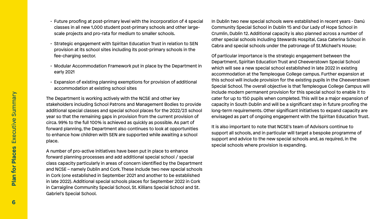- Future proofing at post-primary level with the incorporation of 4 special classes in all new 1,000 student post-primary schools and other largescale projects and pro-rata for medium to smaller schools.
- Strategic engagement with Spiritan Education Trust in relation to SEN provision at its school sites including its post-primary schools in the fee-charging sector.
- Modular Accommodation Framework put in place by the Department in early 2021
- Expansion of existing planning exemptions for provision of additional accommodation at existing school sites

The Department is working actively with the NCSE and other key stakeholders including School Patrons and Management Bodies to provide additional special classes and special school places for the 2022/23 school year so that the remaining gaps in provision from the current provision of circa. 99% to the full 100% is achieved as quickly as possible. As part of forward planning, the Department also continues to look at opportunities to enhance how children with SEN are supported while awaiting a school place.

A number of pro-active initiatives have been put in place to enhance forward planning processes and add additional special school / special class capacity particularly in areas of concern identified by the Department and NCSE – namely Dublin and Cork. These include two new special schools in Cork (one established in September 2021 and another to be established in late 2022). Additional special schools places for September 2022 in Cork in Carraigline Community Special School, St. Killians Special School and St. Gabriel's Special School.

In Dublin two new special schools were established in recent years - Danú Community Special School in Dublin 15 and Our Lady of Hope School in Crumlin, Dublin 12. Additional capacity is also planned across a number of other special schools including Stewards Hospital, Casa Caterina School in Cabra and special schools under the patronage of St.Michael's House;

> Of particular importance is the strategic engagement between the Department, Spiritan Education Trust and Cheeverstown Special School which will see a new special school established in late 2022 in existing accommodation at the Templeogue College campus. Further expansion at this school will include provision for the existing pupils in the Cheeverstown Special School. The overall objective is that Templeogue College Campus will include modern permanent provision for this special school to enable it to cater for up to 150 pupils when completed. This will be a major expansion of capacity in South Dublin and will be a significant step in future proofing the long-term requirements. Other significant initiatives to expand capacity are envisaged as part of ongoing engagement with the Spiritan Education Trust.

It is also important to note that NCSE's team of Advisors continue to support all schools, and in particular will target a bespoke programme of support and advice to the new special schools and, as required, in the special schools where provision is expanding.

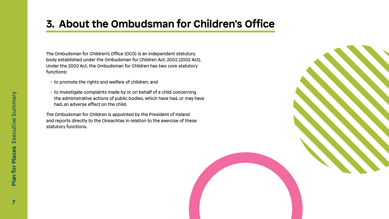

The Ombudsman for Children's Office (OCO) is an independent statutory body established under the Ombudsman for Children Act, 2002 (2002 Act). Under the 2002 Act, the Ombudsman for Children has two core statutory functions:

- to promote the rights and welfare of children; and
- to investigate complaints made by or on behalf of a child concerning the administrative actions of public bodies, which have had, or may have had, an adverse effect on the child.

The Ombudsman for Children is appointed by the President of Ireland and reports directly to the Oireachtas in relation to the exercise of these statutory functions.

## **3. About the Ombudsman for Children's Office**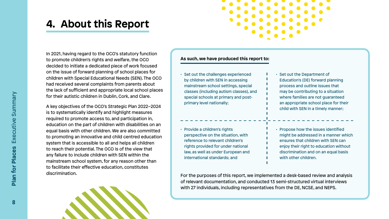

In 2021, having regard to the OCO's statutory function to promote children's rights and welfare, the OCO decided to initiate a dedicated piece of work focused on the issue of forward planning of school places for children with Special Educational Needs (SEN). The OCO had received several complaints from parents about the lack of sufficient and appropriate local school places for their autistic children in Dublin, Cork, and Clare.

A key objectives of the OCO's Strategic Plan 2022–2024 is to systematically identify and highlight measures required to promote access to, and participation in, education on the part of children with disabilities on an equal basis with other children. We are also committed to promoting an innovative and child centred education system that is accessible to all and helps all children to reach their potential. The OCO is of the view that any failure to include children with SEN within the mainstream school system, for any reason other than to facilitate their effective education, constitutes discrimination.



- Set out the Department of Education's (DE) forward planning process and outline issues that may be contributing to a situation where families are not guaranteed an appropriate school place for their child with SEN in a timely manner;
- Propose how the issues identified might be addressed in a manner which ensures that children with SEN can enjoy their right to education without discrimination and on an equal basis with other children.

## **4. About this Report**

- Set out the challenges experienced by children with SEN in accessing mainstream school settings, special classes (including autism classes), and special schools at primary and postprimary level nationally;
- Provide a children's rights perspective on the situation, with reference to relevant children's rights provided for under national law, as well as under European and international standards; and

#### **As such, we have produced this report to:**

For the purposes of this report, we implemented a desk-based review and analysis of relevant documentation, and conducted 13 semi-structured virtual interviews with 27 individuals, including representatives from the DE, NCSE, and NEPS.

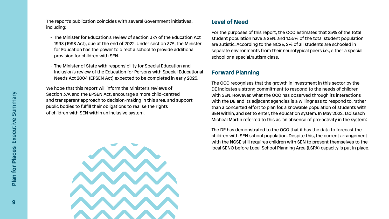The report's publication coincides with several Government initiatives, including:

- The Minister for Education's review of section 37A of the Education Act 1998 (1998 Act), due at the end of 2022. Under section 37A, the Minister for Education has the power to direct a school to provide additional provision for children with SEN.
- The Minister of State with responsibility for Special Education and Inclusion's review of the Education for Persons with Special Educational Needs Act 2004 (EPSEN Act) expected to be completed in early 2023.

We hope that this report will inform the Minister's reviews of Section 37A and the EPSEN Act, encourage a more child-centred and transparent approach to decision-making in this area, and support public bodies to fulfill their obligations to realise the rights of children with SEN within an inclusive system.



#### **Level of Need**

For the purposes of this report, the OCO estimates that 25% of the total student population have a SEN, and 1.55% of the total student population are autistic. According to the NCSE, 2% of all students are schooled in separate environments from their neurotypical peers i.e., either a special school or a special/autism class.

### **Forward Planning**

The OCO recognises that the growth in investment in this sector by the DE indicates a strong commitment to respond to the needs of children with SEN. However, what the OCO has observed through its interactions with the DE and its adjacent agencies is a willingness to respond to, rather than a concerted effort to plan for, a knowable population of students with SEN within, and set to enter, the education system. In May 2022, Taoiseach Micheál Martin referred to this as 'an absence of pro-activity in the system'.

The DE has demonstrated to the OCO that it has the data to forecast the children with SEN school population. Despite this, the current arrangement with the NCSE still requires children with SEN to present themselves to the local SENO before Local School Planning Area (LSPA) capacity is put in place.

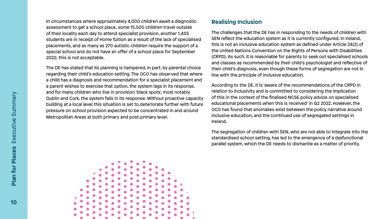In circumstances where approximately 4,000 children await a diagnostic assessment to get a school place, some 15,500 children travel outside of their locality each day to attend specialist provision, another 1,455 students are in receipt of Home Tuition as a result of the lack of specialised placements, and as many as 270 autistic children require the support of a special school and do not have an offer of a school place for September 2022; this is not acceptable.

### **Realising Inclusion**

The DE has stated that its planning is hampered, in part, by parental choice regarding their child's education setting. The OCO has observed that where a child has a diagnosis and recommendation for a specialist placement and a parent wishes to exercise that option, the system lags in its response, and for many children who live in provision 'black spots', most notably Dublin and Cork, the system fails in its response. Without proactive capacity building at a local level this situation is set to deteriorate further with future pressure on school provision expected to be concentrated in and around Metropolitan Areas at both primary and post-primary level. line with the principle of inclusive education. According to the DE, it is 'aware of the recommendations of the CRPD in relation to inclusivity and is committed to considering the implication of this in the context of the finalised NCSE policy advice on specialised educational placements when this is received' in Q2 2022. However, the OCO has found that anomalies exist between the policy narrative around inclusive education, and the continued use of segregated settings in Ireland.



The challenges that the DE has in responding to the needs of children with SEN reflect the education system as it is currently configured. In Ireland, this is not an inclusive education system as defined under Article 24(2) of the United Nations Convention on the Rights of Persons with Disabilities (CRPD). As such, it is reasonable for parents to seek out specialised schools and classes as recommended by their child's psychologist and reflective of their child's diagnosis, even though these forms of segregation are not in

The segregation of children with SEN, who are not able to integrate into the standardised school setting, has led to the emergence of a dysfunctional parallel system, which the DE needs to dismantle as a matter of priority.

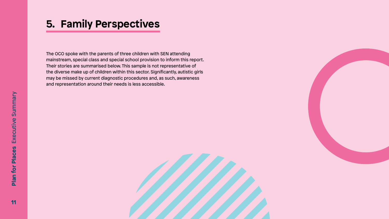



The OCO spoke with the parents of three children with SEN attending mainstream, special class and special school provision to inform this report. Their stories are summarised below. This sample is not representative of the diverse make up of children within this sector. Significantly, autistic girls may be missed by current diagnostic procedures and, as such, awareness and representation around their needs is less accessible.

## **5. Family Perspectives**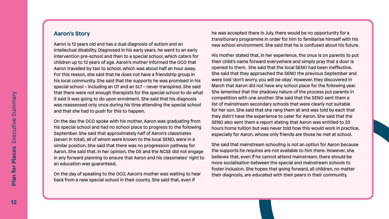#### **Aaron's Story**

Aaron is 12 years old and has a dual diagnosis of autism and an intellectual disability. Diagnosed in his early years, he went to an early intervention pre-school and then to a special school, which caters for children up to 12 years of age. Aaron's mother informed the OCO that Aaron travelled by taxi to school, which was about half an hour away. For this reason, she said that he does not have a friendship group in his local community. She said that the supports he was promised in his special school – including an OT and an SLT – never transpired. She said that there were not enough therapists for the special school to do what it said it was going to do upon enrolment. She said that his diagnosis was reassessed only once during his time attending the special school and that she had to push for this to happen.

On the day the OCO spoke with his mother, Aaron was graduating from his special school and had no school place to progress to the following September. She said that approximately half of Aaron's classmates (seven in total), all of whom were known to the local SENO, were in a similar position. She said that there was no progression pathway for Aaron. She said that, in her opinion, the DE and the NCSE did not engage in any forward planning to ensure that Aaron and his classmates' right to an education was guaranteed.

On the day of speaking to the OCO, Aaron's mother was waiting to hear back from a new special school in their county. She said that, even if

he was accepted there in July, there would be no opportunity for a transitionary programme in order for him to familiarise himself with his new school environment. She said that he is confused about his future.

His mother stated that, in her experience, the onus is on parents to put their child's name forward everywhere and simply pray that a door is opened to them. She said that the local SENO had been ineffective. She said that they approached the SENO the previous September and were told 'don't worry, you will be okay'. However, they discovered in March that Aaron did not have any school place for the following year. She lamented that the shadowy nature of the process put parents in competition with one another. She said that the SENO sent them a list of mainstream secondary schools that were clearly not suitable for her son. She said that she rang them all and was told by each that they didn't have the experience to cater for Aaron. She said that the SENO also sent them a report stating that Aaron was entitled to 20 hours home tuition but was never told how this would work in practice, especially for Aaron, whose only friends are those he met at school.

She said that mainstream schooling is not an option for Aaron because the supports he requires are not available to him there. However, she believes that, even if he cannot attend mainstream, there should be more socialisation between the special and mainstream schools to foster inclusion. She hopes that going forward, all children, no matter their diagnosis, are educated with their peers in their community.

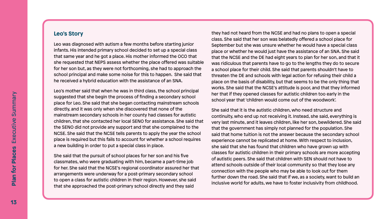#### **Leo's Story**

Leo was diagnosed with autism a few months before starting junior infants. His intended primary school decided to set up a special class that same year and he got a place. His mother informed the OCO that she requested that NEPS assess whether the place offered was suitable for her son but, as they were not forthcoming, she had to approach the school principal and make some noise for this to happen. She said that he received a hybrid education with the assistance of an SNA.

Leo's mother said that when he was in third class, the school principal suggested that she begin the process of finding a secondary school place for Leo. She said that she began contacting mainstream schools directly, and it was only when she discovered that none of the mainstream secondary schools in her county had classes for autistic children, that she contacted her local SENO for assistance. She said that the SENO did not provide any support and that she complained to the NCSE. She said that the NCSE tells parents to apply the year the school place is required but this fails to account for whether a school requires a new building in order to put a special class in place.

She said that the pursuit of school places for her son and his five classmates, who were graduating with him, became a part-time job for her. She said that the NCSE's regional coordinator assured her that arrangements were underway for a post-primary secondary school to open a class for autistic children in their region. However, she said that she approached the post-primary school directly and they said

they had not heard from the NCSE and had no plans to open a special class. She said that her son was belatedly offered a school place for September but she was unsure whether he would have a special class place or whether he would just have the assistance of an SNA. She said that the NCSE and the DE had eight years to plan for her son, and that it was ridiculous that parents have to go to the lengths they do to secure a school place for their child. She said that parents shouldn't have to threaten the DE and schools with legal action for refusing their child a place on the basis of disability, but that seems to be the only thing that works. She said that the NCSE's attitude is poor, and that they informed her that if they opened classes for autistic children too early in the school year that 'children would come out of the woodwork'.

She said that it is the autistic children, who need structure and continuity, who end up not receiving it. Instead, she said, everything is very last minute, and it leaves children, like her son, bewildered. She said that the government has simply not planned for the population. She said that home tuition is not the answer because the secondary school experience cannot be replicated at home. With respect to inclusion, she said that she has found that children who have grown up with classes for autistic children in their primary schools are more accepting of autistic peers. She said that children with SEN should not have to attend schools outside of their local community so that they lose any connection with the people who may be able to look out for them further down the road. She said that if we, as a society, want to build an inclusive world for adults, we have to foster inclusivity from childhood.

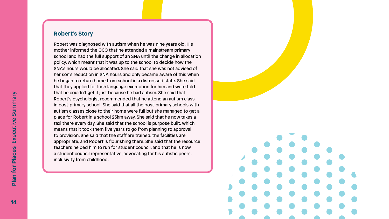#### **Robert's Story**

Robert was diagnosed with autism when he was nine years old. His mother informed the OCO that he attended a mainstream primary school and had the full support of an SNA until the change in allocation policy, which meant that it was up to the school to decide how the SNA's hours would be allocated. She said that she was not advised of her son's reduction in SNA hours and only became aware of this when he began to return home from school in a distressed state. She said that they applied for Irish language exemption for him and were told that he couldn't get it just because he had autism. She said that Robert's psychologist recommended that he attend an autism class in post-primary school. She said that all the post-primary schools with autism classes close to their home were full but she managed to get a place for Robert in a school 25km away. She said that he now takes a taxi there every day. She said that the school is purpose built, which means that it took them five years to go from planning to approval to provision. She said that the staff are trained, the facilities are appropriate, and Robert is flourishing there. She said that the resource teachers helped him to run for student council, and that he is now a student council representative, advocating for his autistic peers. inclusivity from childhood.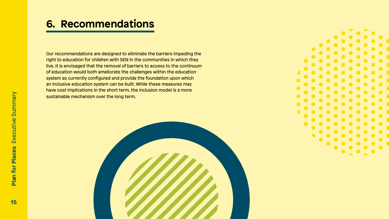

Our recommendations are designed to eliminate the barriers impeding the right to education for children with SEN in the communities in which they live. It is envisaged that the removal of barriers to access to the continuum of education would both ameliorate the challenges within the education system as currently configured and provide the foundation upon which an inclusive education system can be built. While these measures may have cost implications in the short term, the inclusion model is a more sustainable mechanism over the long term.



## **6. Recommendations**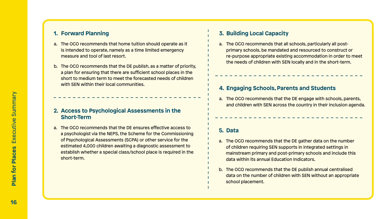#### **1. Forward Planning**

- a. The OCO recommends that home tuition should operate as it is intended to operate, namely as a time limited emergency measure and tool of last resort.
- b. The OCO recommends that the DE publish, as a matter of priority, a plan for ensuring that there are sufficient school places in the short to medium term to meet the forecasted needs of children with SEN within their local communities.

#### **2. Access to Psychological Assessments in the Short-Term**

a. The OCO recommends that the DE ensures effective access to a psychologist via the NEPS, the Scheme for the Commissioning of Psychological Assessments (SCPA) or other service for the estimated 4,000 children awaiting a diagnostic assessment to establish whether a special class/school place is required in the short-term.

#### **4. Engaging Schools, Parents and Students**

a. The OCO recommends that the DE engage with schools, parents, and children with SEN across the country in their inclusion agenda.

### **3. Building Local Capacity**

a. The OCO recommends that all schools, particularly all postprimary schools, be mandated and resourced to construct or re-purpose appropriate existing accommodation in order to meet the needs of children with SEN locally and in the short-term.

#### **5. Data**

- a. The OCO recommends that the DE gather data on the number of children requiring SEN supports in integrated settings in mainstream primary and post-primary schools and include this data within its annual Education Indicators.
- b. The OCO recommends that the DE publish annual centralised data on the number of children with SEN without an appropriate school placement.

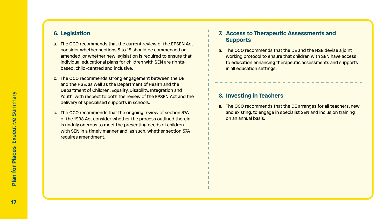### **6. Legislation**

- a. The OCO recommends that the current review of the EPSEN Act consider whether sections 3 to 13 should be commenced or amended, or whether new legislation is required to ensure that individual educational plans for children with SEN are rightsbased, child-centred and inclusive.
- b. The OCO recommends strong engagement between the DE and the HSE, as well as the Department of Health and the Department of Children, Equality, Disability, Integration and Youth, with respect to both the review of the EPSEN Act and the delivery of specialised supports in schools.
- c. The OCO recommends that the ongoing review of section 37A of the 1998 Act consider whether the process outlined therein is unduly onerous to meet the presenting needs of children with SEN in a timely manner and, as such, whether section 37A requires amendment.

#### **7. Access to Therapeutic Assessments and Supports**

a. The OCO recommends that the DE and the HSE devise a joint working protocol to ensure that children with SEN have access to education enhancing therapeutic assessments and supports in all education settings.

### **8. Investing in Teachers**

a. The OCO recommends that the DE arranges for all teachers, new and existing, to engage in specialist SEN and inclusion training on an annual basis.